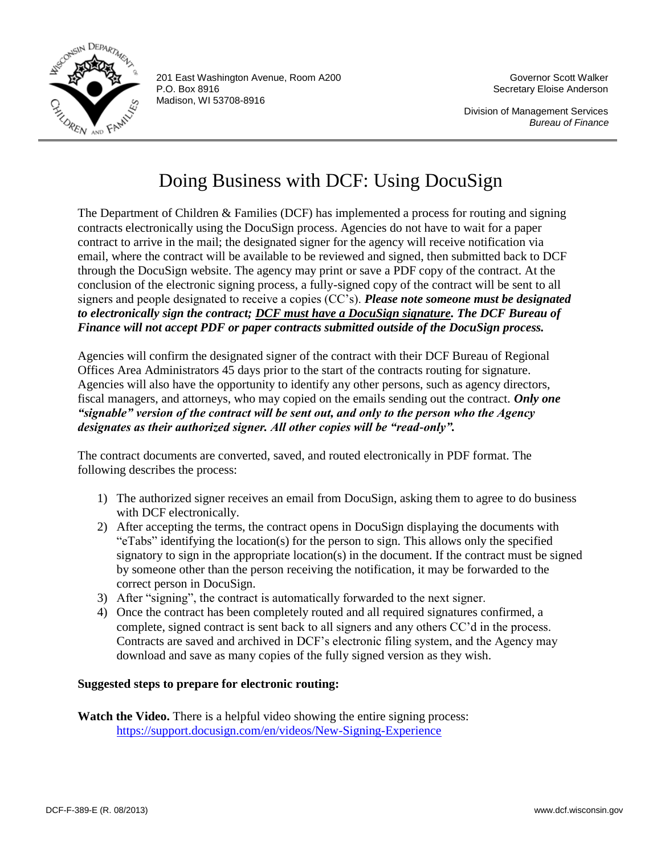

201 East Washington Avenue, Room A200 Governor Scott Walker P.O. Box 8916 Secretary Eloise Anderson Madison, WI 53708-8916

Division of Management Services *Bureau of Finance*

## Doing Business with DCF: Using DocuSign

The Department of Children & Families (DCF) has implemented a process for routing and signing contracts electronically using the DocuSign process. Agencies do not have to wait for a paper contract to arrive in the mail; the designated signer for the agency will receive notification via email, where the contract will be available to be reviewed and signed, then submitted back to DCF through the DocuSign website. The agency may print or save a PDF copy of the contract. At the conclusion of the electronic signing process, a fully-signed copy of the contract will be sent to all signers and people designated to receive a copies (CC's). *Please note someone must be designated to electronically sign the contract; DCF must have a DocuSign signature. The DCF Bureau of Finance will not accept PDF or paper contracts submitted outside of the DocuSign process.* 

Agencies will confirm the designated signer of the contract with their DCF Bureau of Regional Offices Area Administrators 45 days prior to the start of the contracts routing for signature. Agencies will also have the opportunity to identify any other persons, such as agency directors, fiscal managers, and attorneys, who may copied on the emails sending out the contract. *Only one "signable" version of the contract will be sent out, and only to the person who the Agency designates as their authorized signer. All other copies will be "read-only".* 

The contract documents are converted, saved, and routed electronically in PDF format. The following describes the process:

- 1) The authorized signer receives an email from DocuSign, asking them to agree to do business with DCF electronically.
- 2) After accepting the terms, the contract opens in DocuSign displaying the documents with "eTabs" identifying the location(s) for the person to sign. This allows only the specified signatory to sign in the appropriate location(s) in the document. If the contract must be signed by someone other than the person receiving the notification, it may be forwarded to the correct person in DocuSign.
- 3) After "signing", the contract is automatically forwarded to the next signer.
- 4) Once the contract has been completely routed and all required signatures confirmed, a complete, signed contract is sent back to all signers and any others CC'd in the process. Contracts are saved and archived in DCF's electronic filing system, and the Agency may download and save as many copies of the fully signed version as they wish.

## **Suggested steps to prepare for electronic routing:**

**Watch the Video.** There is a helpful video showing the entire signing process: <https://support.docusign.com/en/videos/New-Signing-Experience>